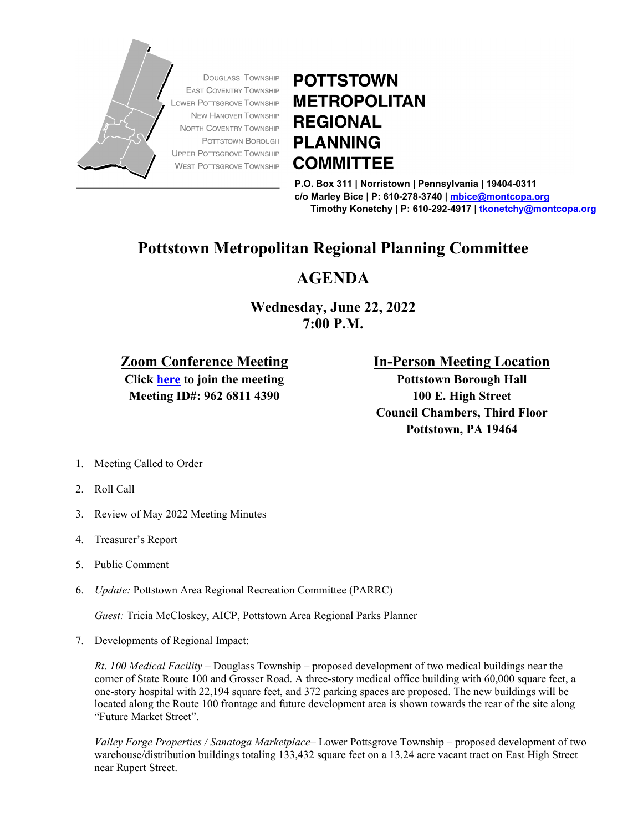

## **POTTSTOWN METROPOLITAN REGIONAL PLANNING COMMITTEE**

**P.O. Box 311 | Norristown | Pennsylvania | 19404-0311 c/o Marley Bice | P: 610-278-3740 | [mbice@montcopa.org](mailto:mbice@montcopa.org) Timothy Konetchy | P: 610-292-4917 [| tkonetchy@montcopa.org](mailto:tkonetchy@montcopa.org)**

## **Pottstown Metropolitan Regional Planning Committee**

## **AGENDA**

**Wednesday, June 22, 2022 7:00 P.M.**

## **Zoom Conference Meeting**

**Click [here](https://zoom.us/j/96268114390) to join the meeting Meeting ID#: 962 6811 4390**

**In-Person Meeting Location**

**Pottstown Borough Hall 100 E. High Street Council Chambers, Third Floor Pottstown, PA 19464**

- 1. Meeting Called to Order
- 2. Roll Call
- 3. Review of May 2022 Meeting Minutes
- 4. Treasurer's Report
- 5. Public Comment
- 6. *Update:* Pottstown Area Regional Recreation Committee (PARRC)

*Guest:* Tricia McCloskey, AICP, Pottstown Area Regional Parks Planner

7. Developments of Regional Impact:

*Rt*. *100 Medical Facility* – Douglass Township – proposed development of two medical buildings near the corner of State Route 100 and Grosser Road. A three-story medical office building with 60,000 square feet, a one-story hospital with 22,194 square feet, and 372 parking spaces are proposed. The new buildings will be located along the Route 100 frontage and future development area is shown towards the rear of the site along "Future Market Street".

*Valley Forge Properties / Sanatoga Marketplace*– Lower Pottsgrove Township – proposed development of two warehouse/distribution buildings totaling 133,432 square feet on a 13.24 acre vacant tract on East High Street near Rupert Street.